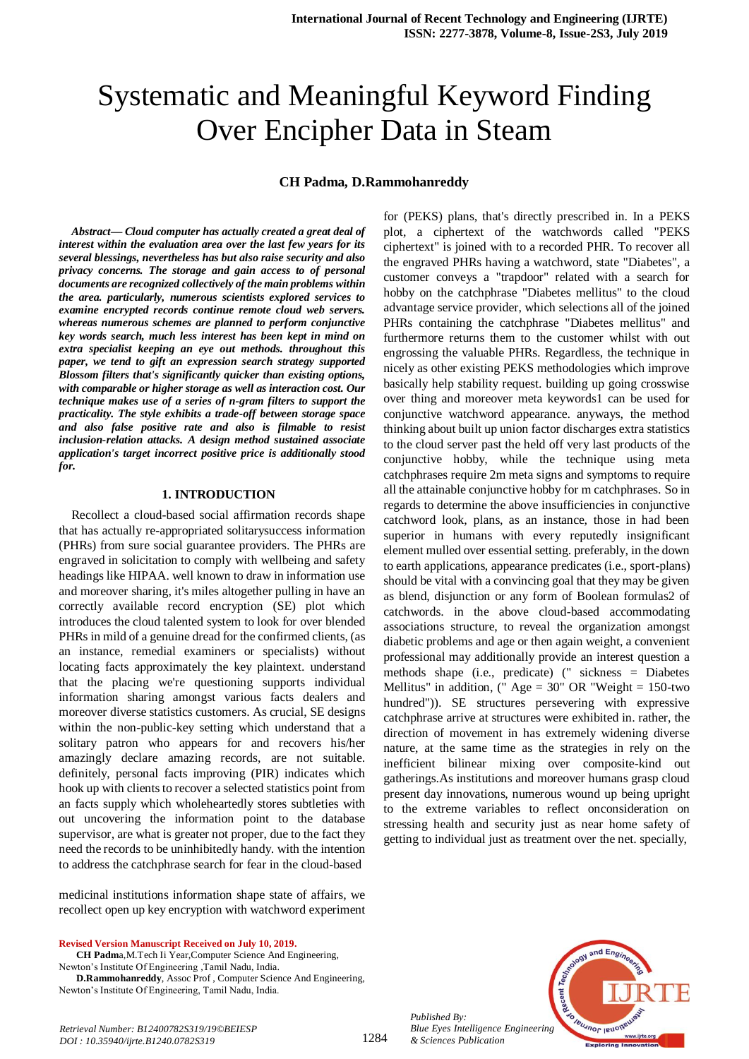# Systematic and Meaningful Keyword Finding Over Encipher Data in Steam

#### **CH Padma, D.Rammohanreddy**

*Abstract***—** *Cloud computer has actually created a great deal of interest within the evaluation area over the last few years for its several blessings, nevertheless has but also raise security and also privacy concerns. The storage and gain access to of personal documents are recognized collectively of the main problems within the area. particularly, numerous scientists explored services to examine encrypted records continue remote cloud web servers. whereas numerous schemes are planned to perform conjunctive key words search, much less interest has been kept in mind on extra specialist keeping an eye out methods. throughout this paper, we tend to gift an expression search strategy supported Blossom filters that's significantly quicker than existing options, with comparable or higher storage as well as interaction cost. Our technique makes use of a series of n-gram filters to support the practicality. The style exhibits a trade-off between storage space and also false positive rate and also is filmable to resist inclusion-relation attacks. A design method sustained associate application's target incorrect positive price is additionally stood for.*

### **1. INTRODUCTION**

Recollect a cloud-based social affirmation records shape that has actually re-appropriated solitarysuccess information (PHRs) from sure social guarantee providers. The PHRs are engraved in solicitation to comply with wellbeing and safety headings like HIPAA. well known to draw in information use and moreover sharing, it's miles altogether pulling in have an correctly available record encryption (SE) plot which introduces the cloud talented system to look for over blended PHRs in mild of a genuine dread for the confirmed clients, (as an instance, remedial examiners or specialists) without locating facts approximately the key plaintext. understand that the placing we're questioning supports individual information sharing amongst various facts dealers and moreover diverse statistics customers. As crucial, SE designs within the non-public-key setting which understand that a solitary patron who appears for and recovers his/her amazingly declare amazing records, are not suitable. definitely, personal facts improving (PIR) indicates which hook up with clients to recover a selected statistics point from an facts supply which wholeheartedly stores subtleties with out uncovering the information point to the database supervisor, are what is greater not proper, due to the fact they need the records to be uninhibitedly handy. with the intention to address the catchphrase search for fear in the cloud-based

medicinal institutions information shape state of affairs, we recollect open up key encryption with watchword experiment

**Revised Version Manuscript Received on July 10, 2019.**

**CH Padm**a,M.Tech Ii Year,Computer Science And Engineering, Newton's Institute Of Engineering ,Tamil Nadu, India.

 **D.Rammohanreddy**, Assoc Prof , Computer Science And Engineering, Newton's Institute Of Engineering, Tamil Nadu, India.

for (PEKS) plans, that's directly prescribed in. In a PEKS plot, a ciphertext of the watchwords called "PEKS ciphertext" is joined with to a recorded PHR. To recover all the engraved PHRs having a watchword, state "Diabetes", a customer conveys a "trapdoor" related with a search for hobby on the catchphrase "Diabetes mellitus" to the cloud advantage service provider, which selections all of the joined PHRs containing the catchphrase "Diabetes mellitus" and furthermore returns them to the customer whilst with out engrossing the valuable PHRs. Regardless, the technique in nicely as other existing PEKS methodologies which improve basically help stability request. building up going crosswise over thing and moreover meta keywords1 can be used for conjunctive watchword appearance. anyways, the method thinking about built up union factor discharges extra statistics to the cloud server past the held off very last products of the conjunctive hobby, while the technique using meta catchphrases require 2m meta signs and symptoms to require all the attainable conjunctive hobby for m catchphrases. So in regards to determine the above insufficiencies in conjunctive catchword look, plans, as an instance, those in had been superior in humans with every reputedly insignificant element mulled over essential setting. preferably, in the down to earth applications, appearance predicates (i.e., sport-plans) should be vital with a convincing goal that they may be given as blend, disjunction or any form of Boolean formulas2 of catchwords. in the above cloud-based accommodating associations structure, to reveal the organization amongst diabetic problems and age or then again weight, a convenient professional may additionally provide an interest question a methods shape (i.e., predicate) (" sickness = Diabetes Mellitus" in addition,  $(" Age = 30" OR "Weight = 150-two$ hundred")). SE structures persevering with expressive catchphrase arrive at structures were exhibited in. rather, the direction of movement in has extremely widening diverse nature, at the same time as the strategies in rely on the inefficient bilinear mixing over composite-kind out gatherings.As institutions and moreover humans grasp cloud present day innovations, numerous wound up being upright to the extreme variables to reflect onconsideration on stressing health and security just as near home safety of getting to individual just as treatment over the net. specially,



*Published By: Blue Eyes Intelligence Engineering & Sciences Publication* 

1284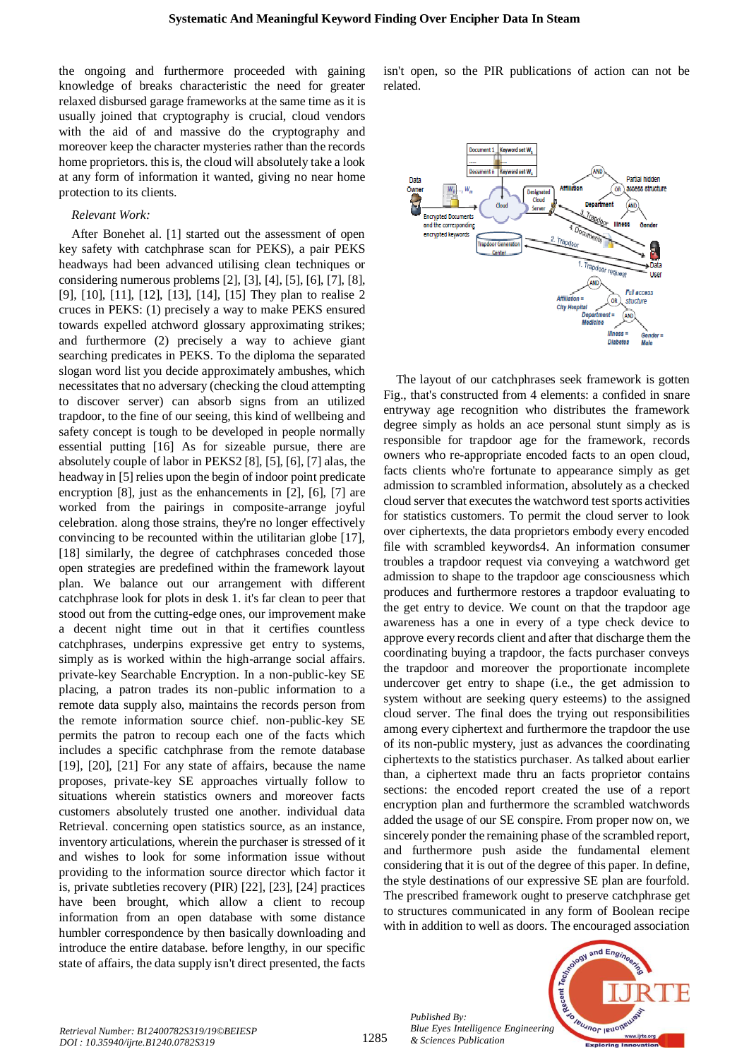the ongoing and furthermore proceeded with gaining knowledge of breaks characteristic the need for greater relaxed disbursed garage frameworks at the same time as it is usually joined that cryptography is crucial, cloud vendors with the aid of and massive do the cryptography and moreover keep the character mysteries rather than the records home proprietors. this is, the cloud will absolutely take a look at any form of information it wanted, giving no near home protection to its clients.

#### *Relevant Work:*

After Bonehet al. [1] started out the assessment of open key safety with catchphrase scan for PEKS), a pair PEKS headways had been advanced utilising clean techniques or considering numerous problems [2], [3], [4], [5], [6], [7], [8], [9], [10], [11], [12], [13], [14], [15] They plan to realise 2 cruces in PEKS: (1) precisely a way to make PEKS ensured towards expelled atchword glossary approximating strikes; and furthermore (2) precisely a way to achieve giant searching predicates in PEKS. To the diploma the separated slogan word list you decide approximately ambushes, which necessitates that no adversary (checking the cloud attempting to discover server) can absorb signs from an utilized trapdoor, to the fine of our seeing, this kind of wellbeing and safety concept is tough to be developed in people normally essential putting [16] As for sizeable pursue, there are absolutely couple of labor in PEKS2 [8], [5], [6], [7] alas, the headway in [5] relies upon the begin of indoor point predicate encryption [8], just as the enhancements in [2], [6], [7] are worked from the pairings in composite-arrange joyful celebration. along those strains, they're no longer effectively convincing to be recounted within the utilitarian globe [17], [18] similarly, the degree of catchphrases conceded those open strategies are predefined within the framework layout plan. We balance out our arrangement with different catchphrase look for plots in desk 1. it's far clean to peer that stood out from the cutting-edge ones, our improvement make a decent night time out in that it certifies countless catchphrases, underpins expressive get entry to systems, simply as is worked within the high-arrange social affairs. private-key Searchable Encryption. In a non-public-key SE placing, a patron trades its non-public information to a remote data supply also, maintains the records person from the remote information source chief. non-public-key SE permits the patron to recoup each one of the facts which includes a specific catchphrase from the remote database [19], [20], [21] For any state of affairs, because the name proposes, private-key SE approaches virtually follow to situations wherein statistics owners and moreover facts customers absolutely trusted one another. individual data Retrieval. concerning open statistics source, as an instance, inventory articulations, wherein the purchaser is stressed of it and wishes to look for some information issue without providing to the information source director which factor it is, private subtleties recovery (PIR) [22], [23], [24] practices have been brought, which allow a client to recoup information from an open database with some distance humbler correspondence by then basically downloading and introduce the entire database. before lengthy, in our specific state of affairs, the data supply isn't direct presented, the facts isn't open, so the PIR publications of action can not be related.



The layout of our catchphrases seek framework is gotten Fig., that's constructed from 4 elements: a confided in snare entryway age recognition who distributes the framework degree simply as holds an ace personal stunt simply as is responsible for trapdoor age for the framework, records owners who re-appropriate encoded facts to an open cloud, facts clients who're fortunate to appearance simply as get admission to scrambled information, absolutely as a checked cloud server that executes the watchword test sports activities for statistics customers. To permit the cloud server to look over ciphertexts, the data proprietors embody every encoded file with scrambled keywords4. An information consumer troubles a trapdoor request via conveying a watchword get admission to shape to the trapdoor age consciousness which produces and furthermore restores a trapdoor evaluating to the get entry to device. We count on that the trapdoor age awareness has a one in every of a type check device to approve every records client and after that discharge them the coordinating buying a trapdoor, the facts purchaser conveys the trapdoor and moreover the proportionate incomplete undercover get entry to shape (i.e., the get admission to system without are seeking query esteems) to the assigned cloud server. The final does the trying out responsibilities among every ciphertext and furthermore the trapdoor the use of its non-public mystery, just as advances the coordinating ciphertexts to the statistics purchaser. As talked about earlier than, a ciphertext made thru an facts proprietor contains sections: the encoded report created the use of a report encryption plan and furthermore the scrambled watchwords added the usage of our SE conspire. From proper now on, we sincerely ponder the remaining phase of the scrambled report, and furthermore push aside the fundamental element considering that it is out of the degree of this paper. In define, the style destinations of our expressive SE plan are fourfold. The prescribed framework ought to preserve catchphrase get to structures communicated in any form of Boolean recipe with in addition to well as doors. The encouraged association



*Retrieval Number: B12400782S319/19©BEIESP DOI : 10.35940/ijrte.B1240.0782S319*

1285

*Published By:*

*& Sciences Publication*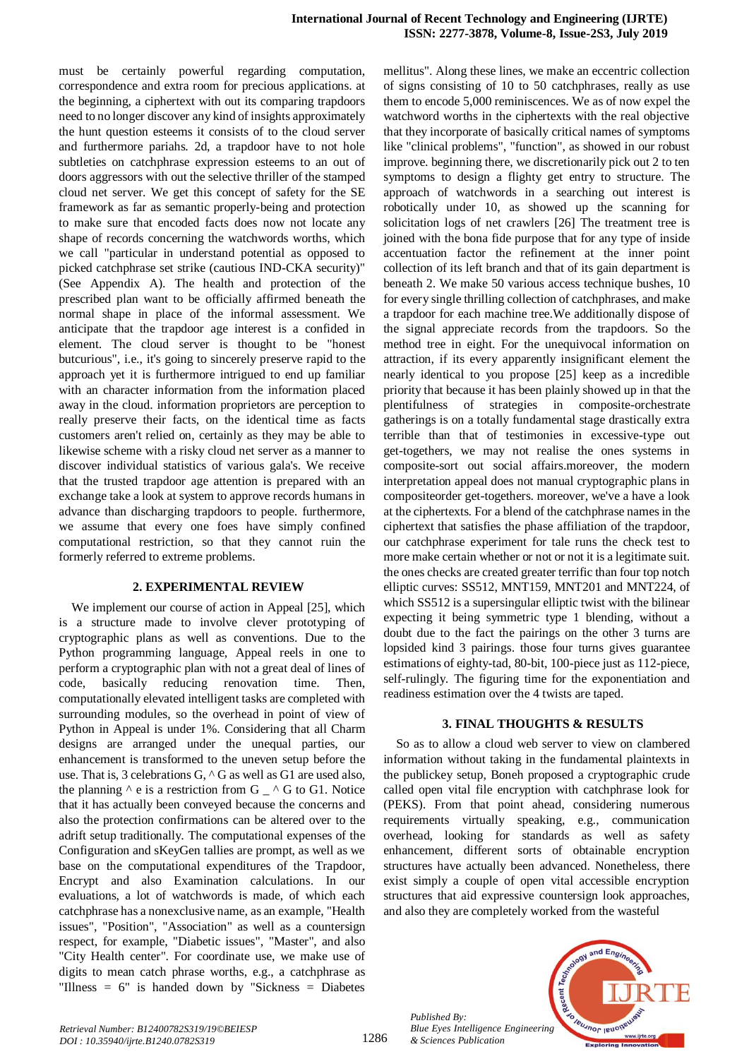must be certainly powerful regarding computation, correspondence and extra room for precious applications. at the beginning, a ciphertext with out its comparing trapdoors need to no longer discover any kind of insights approximately the hunt question esteems it consists of to the cloud server and furthermore pariahs. 2d, a trapdoor have to not hole subtleties on catchphrase expression esteems to an out of doors aggressors with out the selective thriller of the stamped cloud net server. We get this concept of safety for the SE framework as far as semantic properly-being and protection to make sure that encoded facts does now not locate any shape of records concerning the watchwords worths, which we call "particular in understand potential as opposed to picked catchphrase set strike (cautious IND-CKA security)" (See Appendix A). The health and protection of the prescribed plan want to be officially affirmed beneath the normal shape in place of the informal assessment. We anticipate that the trapdoor age interest is a confided in element. The cloud server is thought to be "honest butcurious", i.e., it's going to sincerely preserve rapid to the approach yet it is furthermore intrigued to end up familiar with an character information from the information placed away in the cloud. information proprietors are perception to really preserve their facts, on the identical time as facts customers aren't relied on, certainly as they may be able to likewise scheme with a risky cloud net server as a manner to discover individual statistics of various gala's. We receive that the trusted trapdoor age attention is prepared with an exchange take a look at system to approve records humans in advance than discharging trapdoors to people. furthermore, we assume that every one foes have simply confined computational restriction, so that they cannot ruin the formerly referred to extreme problems.

#### **2. EXPERIMENTAL REVIEW**

We implement our course of action in Appeal [25], which is a structure made to involve clever prototyping of cryptographic plans as well as conventions. Due to the Python programming language, Appeal reels in one to perform a cryptographic plan with not a great deal of lines of code, basically reducing renovation time. Then, computationally elevated intelligent tasks are completed with surrounding modules, so the overhead in point of view of Python in Appeal is under 1%. Considering that all Charm designs are arranged under the unequal parties, our enhancement is transformed to the uneven setup before the use. That is, 3 celebrations G, ^ G as well as G1 are used also, the planning  $\wedge$  e is a restriction from G  $\angle$   $\wedge$  G to G1. Notice that it has actually been conveyed because the concerns and also the protection confirmations can be altered over to the adrift setup traditionally. The computational expenses of the Configuration and sKeyGen tallies are prompt, as well as we base on the computational expenditures of the Trapdoor, Encrypt and also Examination calculations. In our evaluations, a lot of watchwords is made, of which each catchphrase has a nonexclusive name, as an example, "Health issues", "Position", "Association" as well as a countersign respect, for example, "Diabetic issues", "Master", and also "City Health center". For coordinate use, we make use of digits to mean catch phrase worths, e.g., a catchphrase as "Illness = 6" is handed down by "Sickness = Diabetes mellitus". Along these lines, we make an eccentric collection of signs consisting of 10 to 50 catchphrases, really as use them to encode 5,000 reminiscences. We as of now expel the watchword worths in the ciphertexts with the real objective that they incorporate of basically critical names of symptoms like "clinical problems", "function", as showed in our robust improve. beginning there, we discretionarily pick out 2 to ten symptoms to design a flighty get entry to structure. The approach of watchwords in a searching out interest is robotically under 10, as showed up the scanning for solicitation logs of net crawlers [26] The treatment tree is joined with the bona fide purpose that for any type of inside accentuation factor the refinement at the inner point collection of its left branch and that of its gain department is beneath 2. We make 50 various access technique bushes, 10 for every single thrilling collection of catchphrases, and make a trapdoor for each machine tree.We additionally dispose of the signal appreciate records from the trapdoors. So the method tree in eight. For the unequivocal information on attraction, if its every apparently insignificant element the nearly identical to you propose [25] keep as a incredible priority that because it has been plainly showed up in that the plentifulness of strategies in composite-orchestrate gatherings is on a totally fundamental stage drastically extra terrible than that of testimonies in excessive-type out get-togethers, we may not realise the ones systems in composite-sort out social affairs.moreover, the modern interpretation appeal does not manual cryptographic plans in compositeorder get-togethers. moreover, we've a have a look at the ciphertexts. For a blend of the catchphrase names in the ciphertext that satisfies the phase affiliation of the trapdoor, our catchphrase experiment for tale runs the check test to more make certain whether or not or not it is a legitimate suit. the ones checks are created greater terrific than four top notch elliptic curves: SS512, MNT159, MNT201 and MNT224, of which SS512 is a supersingular elliptic twist with the bilinear expecting it being symmetric type 1 blending, without a doubt due to the fact the pairings on the other 3 turns are lopsided kind 3 pairings. those four turns gives guarantee estimations of eighty-tad, 80-bit, 100-piece just as 112-piece, self-rulingly. The figuring time for the exponentiation and readiness estimation over the 4 twists are taped.

#### **3. FINAL THOUGHTS & RESULTS**

So as to allow a cloud web server to view on clambered information without taking in the fundamental plaintexts in the publickey setup, Boneh proposed a cryptographic crude called open vital file encryption with catchphrase look for (PEKS). From that point ahead, considering numerous requirements virtually speaking, e.g., communication overhead, looking for standards as well as safety enhancement, different sorts of obtainable encryption structures have actually been advanced. Nonetheless, there exist simply a couple of open vital accessible encryption structures that aid expressive countersign look approaches, and also they are completely worked from the wasteful

*Published By: Blue Eyes Intelligence Engineering & Sciences Publication* 

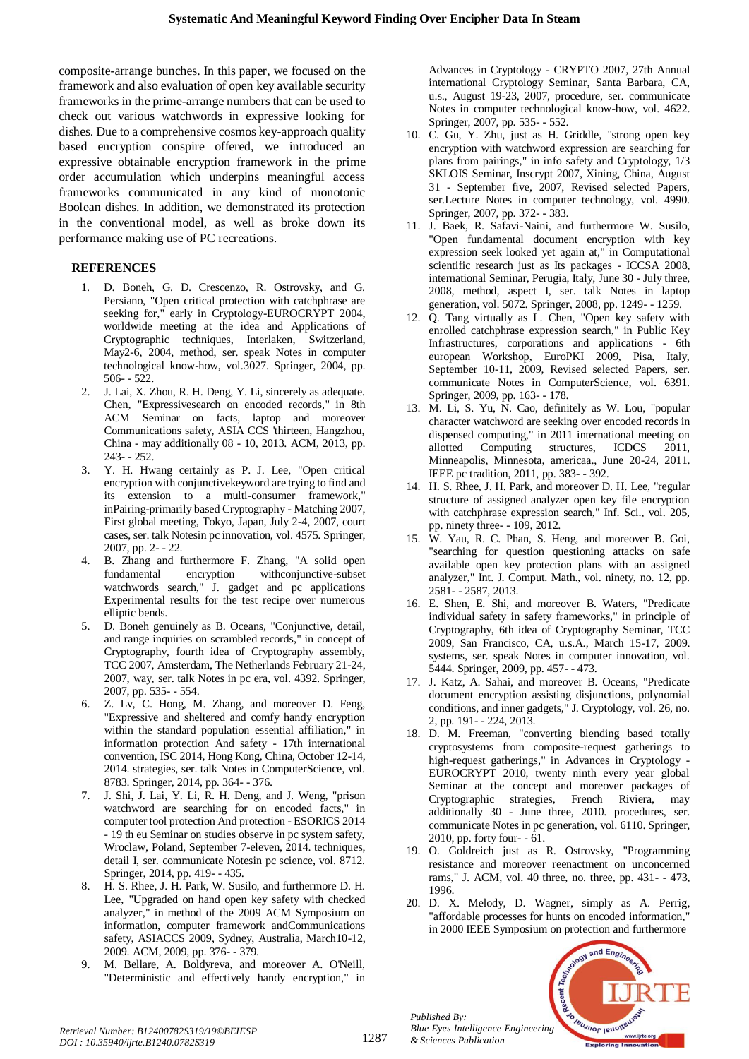composite-arrange bunches. In this paper, we focused on the framework and also evaluation of open key available security frameworks in the prime-arrange numbers that can be used to check out various watchwords in expressive looking for dishes. Due to a comprehensive cosmos key-approach quality based encryption conspire offered, we introduced an expressive obtainable encryption framework in the prime order accumulation which underpins meaningful access frameworks communicated in any kind of monotonic Boolean dishes. In addition, we demonstrated its protection in the conventional model, as well as broke down its performance making use of PC recreations.

## **REFERENCES**

- 1. D. Boneh, G. D. Crescenzo, R. Ostrovsky, and G. Persiano, "Open critical protection with catchphrase are seeking for," early in Cryptology-EUROCRYPT 2004, worldwide meeting at the idea and Applications of Cryptographic techniques, Interlaken, Switzerland, May2-6, 2004, method, ser. speak Notes in computer technological know-how, vol.3027. Springer, 2004, pp. 506- - 522.
- 2. J. Lai, X. Zhou, R. H. Deng, Y. Li, sincerely as adequate. Chen, "Expressivesearch on encoded records," in 8th ACM Seminar on facts, laptop and moreover Communications safety, ASIA CCS 'thirteen, Hangzhou, China - may additionally 08 - 10, 2013. ACM, 2013, pp. 243- - 252.
- 3. Y. H. Hwang certainly as P. J. Lee, "Open critical encryption with conjunctivekeyword are trying to find and its extension to a multi-consumer framework," inPairing-primarily based Cryptography - Matching 2007, First global meeting, Tokyo, Japan, July 2-4, 2007, court cases, ser. talk Notesin pc innovation, vol. 4575. Springer, 2007, pp. 2- - 22.
- 4. B. Zhang and furthermore F. Zhang, "A solid open fundamental encryption withconjunctive-subset watchwords search," J. gadget and pc applications Experimental results for the test recipe over numerous elliptic bends.
- 5. D. Boneh genuinely as B. Oceans, "Conjunctive, detail, and range inquiries on scrambled records," in concept of Cryptography, fourth idea of Cryptography assembly, TCC 2007, Amsterdam, The Netherlands February 21-24, 2007, way, ser. talk Notes in pc era, vol. 4392. Springer, 2007, pp. 535- - 554.
- 6. Z. Lv, C. Hong, M. Zhang, and moreover D. Feng, "Expressive and sheltered and comfy handy encryption within the standard population essential affiliation," in information protection And safety - 17th international convention, ISC 2014, Hong Kong, China, October 12-14, 2014. strategies, ser. talk Notes in ComputerScience, vol. 8783. Springer, 2014, pp. 364- - 376.
- 7. J. Shi, J. Lai, Y. Li, R. H. Deng, and J. Weng, "prison watchword are searching for on encoded facts," in computer tool protection And protection - ESORICS 2014 - 19 th eu Seminar on studies observe in pc system safety, Wroclaw, Poland, September 7-eleven, 2014. techniques, detail I, ser. communicate Notesin pc science, vol. 8712. Springer, 2014, pp. 419- - 435.
- 8. H. S. Rhee, J. H. Park, W. Susilo, and furthermore D. H. Lee, "Upgraded on hand open key safety with checked analyzer," in method of the 2009 ACM Symposium on information, computer framework andCommunications safety, ASIACCS 2009, Sydney, Australia, March10-12, 2009. ACM, 2009, pp. 376- - 379.
- 9. M. Bellare, A. Boldyreva, and moreover A. O'Neill, "Deterministic and effectively handy encryption," in

Advances in Cryptology - CRYPTO 2007, 27th Annual international Cryptology Seminar, Santa Barbara, CA, u.s., August 19-23, 2007, procedure, ser. communicate Notes in computer technological know-how, vol. 4622. Springer, 2007, pp. 535- - 552.

- 10. C. Gu, Y. Zhu, just as H. Griddle, "strong open key encryption with watchword expression are searching for plans from pairings," in info safety and Cryptology, 1/3 SKLOIS Seminar, Inscrypt 2007, Xining, China, August 31 - September five, 2007, Revised selected Papers, ser.Lecture Notes in computer technology, vol. 4990. Springer, 2007, pp. 372- - 383.
- 11. J. Baek, R. Safavi-Naini, and furthermore W. Susilo, "Open fundamental document encryption with key expression seek looked yet again at," in Computational scientific research just as Its packages - ICCSA 2008, international Seminar, Perugia, Italy, June 30 - July three, 2008, method, aspect I, ser. talk Notes in laptop generation, vol. 5072. Springer, 2008, pp. 1249- - 1259.
- 12. Q. Tang virtually as L. Chen, "Open key safety with enrolled catchphrase expression search," in Public Key Infrastructures, corporations and applications - 6th european Workshop, EuroPKI 2009, Pisa, Italy, September 10-11, 2009, Revised selected Papers, ser. communicate Notes in ComputerScience, vol. 6391. Springer, 2009, pp. 163- - 178.
- 13. M. Li, S. Yu, N. Cao, definitely as W. Lou, "popular character watchword are seeking over encoded records in dispensed computing," in 2011 international meeting on allotted Computing structures, ICDCS 2011, Minneapolis, Minnesota, americaa., June 20-24, 2011. IEEE pc tradition, 2011, pp. 383- - 392.
- 14. H. S. Rhee, J. H. Park, and moreover D. H. Lee, "regular structure of assigned analyzer open key file encryption with catchphrase expression search," Inf. Sci., vol. 205, pp. ninety three- - 109, 2012.
- 15. W. Yau, R. C. Phan, S. Heng, and moreover B. Goi, "searching for question questioning attacks on safe available open key protection plans with an assigned analyzer," Int. J. Comput. Math., vol. ninety, no. 12, pp. 2581- - 2587, 2013.
- 16. E. Shen, E. Shi, and moreover B. Waters, "Predicate individual safety in safety frameworks," in principle of Cryptography, 6th idea of Cryptography Seminar, TCC 2009, San Francisco, CA, u.s.A., March 15-17, 2009. systems, ser. speak Notes in computer innovation, vol. 5444. Springer, 2009, pp. 457- - 473.
- 17. J. Katz, A. Sahai, and moreover B. Oceans, "Predicate document encryption assisting disjunctions, polynomial conditions, and inner gadgets," J. Cryptology, vol. 26, no. 2, pp. 191- - 224, 2013.
- 18. D. M. Freeman, "converting blending based totally cryptosystems from composite-request gatherings to high-request gatherings," in Advances in Cryptology - EUROCRYPT 2010, twenty ninth every year global Seminar at the concept and moreover packages of Cryptographic strategies, French Riviera, may additionally 30 - June three, 2010. procedures, ser. communicate Notes in pc generation, vol. 6110. Springer, 2010, pp. forty four- - 61.
- 19. O. Goldreich just as R. Ostrovsky, "Programming resistance and moreover reenactment on unconcerned rams," J. ACM, vol. 40 three, no. three, pp. 431- - 473, 1996.
- 20. D. X. Melody, D. Wagner, simply as A. Perrig, "affordable processes for hunts on encoded information, in 2000 IEEE Symposium on protection and furthermore



*Retrieval Number: B12400782S319/19©BEIESP DOI : 10.35940/ijrte.B1240.0782S319*

*Published By:*

*& Sciences Publication*